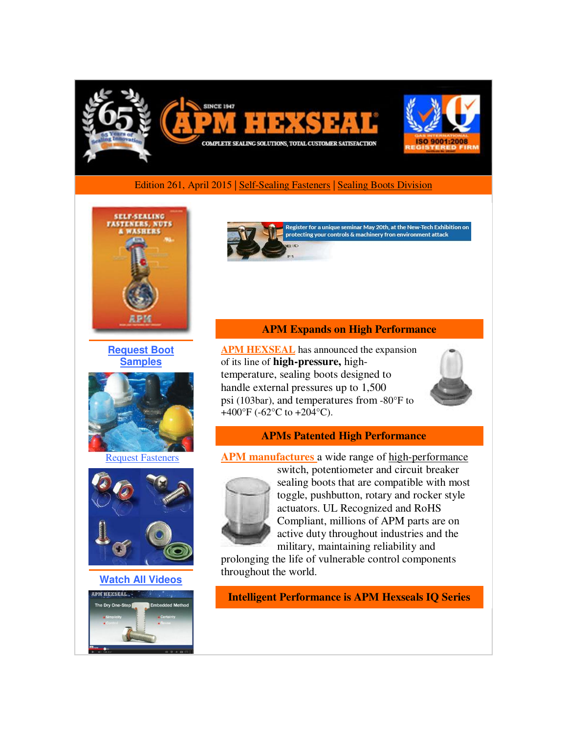

#### Edition 261, April 2015 | [Self-Sealing Fasteners](http://r20.rs6.net/tn.jsp?f=001BOI2jJEgUg9TCbuOV_BndPyjK94H1CVG2dj13c719sc4MVo5EyE-6fndtJMi4erFaLpQHFtt7PJKHVUPdld5um4V6iu-QRfONvML9Tjn_tg_Kfc-TEKbmYNJ3ic0PwOXvyjzNO3cMByxLSJHPc-cKcmOjn3tjUQrYr4rtJ8iRESOs92ZpIR53QYGYtf4xpLv6biJ8vCyPF87BDTz1FvupRN0APkAlnJ10wSu8teJh-0sX7FDQI-JpXq0l0T7qPUPlQ4JAE4lGhpAzaVMVMnCDxGlbyhUFTLLERfCypf9wDxk8xbCY12wSp66xQONsCNn&c=k4jmXzvKv6eBBMZwQhTBOlbKI9wKxR51wcyjRwDLzq2w8QJPLIJX4w==&ch=VgUMAmRPhxtr56smYX-Sz9ixMir-pA952T9RPsruZfNLdw1JwgkutQ==) [| Sealing Boots Division](http://r20.rs6.net/tn.jsp?f=001BOI2jJEgUg9TCbuOV_BndPyjK94H1CVG2dj13c719sc4MVo5EyE-6fndtJMi4erFdg1p_wsUjjSyfaYTkpVVeNJgV7y2QbXAEcMuOpYtFLKFbxPITzOZolPPUGcZv178YRaL-M1moUlUOm3s5YTst8eJWzA7zqeeRl0X3zIMGhLpioJb4SZgRKjPQGhC4-VydqFNldQ4OttmUPca8WZHOXH1L1Kq1w9k_TYe0fe-ILpGRziPm5IvSO0liYXnjHCKn_hyDRBhfXxjea7MEfATvefUnFApsrID0JnRzu4n8JyoWVqMQ01Wqg==&c=k4jmXzvKv6eBBMZwQhTBOlbKI9wKxR51wcyjRwDLzq2w8QJPLIJX4w==&ch=VgUMAmRPhxtr56smYX-Sz9ixMir-pA952T9RPsruZfNLdw1JwgkutQ==)



**[Request Boot](http://r20.rs6.net/tn.jsp?f=001BOI2jJEgUg9TCbuOV_BndPyjK94H1CVG2dj13c719sc4MVo5EyE-6fndtJMi4erFLwqTPTmujvSeM0UMTvIjeF8OCEIshAVZpfzki2AOkwHUoKUUAcNxq-ctD3pE5g731fRJCvxMDj3vJzdGGoryJbdlloouBgRLbUSPEbBxISp0mm-y9EH8S3DwJScVmBI1KFg2dKrFmLdK3w2fIHem2p7iDWnhnb3fWWLKquD9k-ZcrDD7E3t_Fta824ZsILuq1bj4iGQRVMjOndUPvuW52qEOIsK5bB6u8qQdhh0680FhOqQaACZvGOeqf9BCeX1RD_QozsfqHr0=&c=k4jmXzvKv6eBBMZwQhTBOlbKI9wKxR51wcyjRwDLzq2w8QJPLIJX4w==&ch=VgUMAmRPhxtr56smYX-Sz9ixMir-pA952T9RPsruZfNLdw1JwgkutQ==)  [Samples](http://r20.rs6.net/tn.jsp?f=001BOI2jJEgUg9TCbuOV_BndPyjK94H1CVG2dj13c719sc4MVo5EyE-6fndtJMi4erFLwqTPTmujvSeM0UMTvIjeF8OCEIshAVZpfzki2AOkwHUoKUUAcNxq-ctD3pE5g731fRJCvxMDj3vJzdGGoryJbdlloouBgRLbUSPEbBxISp0mm-y9EH8S3DwJScVmBI1KFg2dKrFmLdK3w2fIHem2p7iDWnhnb3fWWLKquD9k-ZcrDD7E3t_Fta824ZsILuq1bj4iGQRVMjOndUPvuW52qEOIsK5bB6u8qQdhh0680FhOqQaACZvGOeqf9BCeX1RD_QozsfqHr0=&c=k4jmXzvKv6eBBMZwQhTBOlbKI9wKxR51wcyjRwDLzq2w8QJPLIJX4w==&ch=VgUMAmRPhxtr56smYX-Sz9ixMir-pA952T9RPsruZfNLdw1JwgkutQ==)**



[Request Fasteners](http://r20.rs6.net/tn.jsp?f=001BOI2jJEgUg9TCbuOV_BndPyjK94H1CVG2dj13c719sc4MVo5EyE-6fndtJMi4erFH1MaG9_JaDn0lXlV5bGGPueE-bncIDux3JUWFZhH_hoqL-uTQYunOTXILcVFV1-GPb-_qw0xK1XIqzKMSNICQNToDeCHg5wwFMFR4AjalBM_jTm3vOV-qHui1oaf9FAdNdF9KY9lxwLfJm9dSHWX7F3rFOXdQxnoaE4yYuApIw8lNTbmbKsUMSZanyj5syacbgNwSfLpAX7XXmXDZrP7enngzHpqp7lcOjBnGmKi8HnMKch_YybqQw==&c=k4jmXzvKv6eBBMZwQhTBOlbKI9wKxR51wcyjRwDLzq2w8QJPLIJX4w==&ch=VgUMAmRPhxtr56smYX-Sz9ixMir-pA952T9RPsruZfNLdw1JwgkutQ==)



**[Watch All Videos](http://r20.rs6.net/tn.jsp?f=001BOI2jJEgUg9TCbuOV_BndPyjK94H1CVG2dj13c719sc4MVo5EyE-6fndtJMi4erFCVe7rcxYPa50EpR1n4ne2X62FCxHg1l9yelHBVELW1QXBMhd95jRLAb1vma93AtCCioOnDqF32c3yoZYBI1SsmCgLex-Gz6B1aLJi_gEYGkg3X7-W0iqJoj_cDwbMDHS6qVzHL5tVL8JRGs0aAGJ6sH-Pf2s_Fs_KZeCwu4qg0w_5B5O3bgzL_3HtyNKC9B_BHmRPIAn1xkWICwhKajHE1xI322KajEV8K9Mp16xa7Q=&c=k4jmXzvKv6eBBMZwQhTBOlbKI9wKxR51wcyjRwDLzq2w8QJPLIJX4w==&ch=VgUMAmRPhxtr56smYX-Sz9ixMir-pA952T9RPsruZfNLdw1JwgkutQ==)**



Register for a unique seminar May 20th, at the New-Tech Exhibition on protecting your controls & machinery fron environment attack

### **APM Expands on High Performance**

**[APM HEXSEAL](http://r20.rs6.net/tn.jsp?f=001BOI2jJEgUg9TCbuOV_BndPyjK94H1CVG2dj13c719sc4MVo5EyE-6fndtJMi4erFdg1p_wsUjjSyfaYTkpVVeNJgV7y2QbXAEcMuOpYtFLKFbxPITzOZolPPUGcZv178YRaL-M1moUlUOm3s5YTst8eJWzA7zqeeRl0X3zIMGhLpioJb4SZgRKjPQGhC4-VydqFNldQ4OttmUPca8WZHOXH1L1Kq1w9k_TYe0fe-ILpGRziPm5IvSO0liYXnjHCKn_hyDRBhfXxjea7MEfATvefUnFApsrID0JnRzu4n8JyoWVqMQ01Wqg==&c=k4jmXzvKv6eBBMZwQhTBOlbKI9wKxR51wcyjRwDLzq2w8QJPLIJX4w==&ch=VgUMAmRPhxtr56smYX-Sz9ixMir-pA952T9RPsruZfNLdw1JwgkutQ==)** has announced the expansion of its line of **high-pressure,** hightemperature, sealing boots designed to handle external pressures up to 1,500 psi (103bar), and temperatures from -80°F to +400 $\rm{°F}$  (-62 $\rm{°C}$  to +204 $\rm{°C}$ ).



### **APMs Patented High Performance**

**APM manufactures** a wide range of high-performance



switch, potentiometer and circuit breaker sealing boots that are compatible with most toggle, pushbutton, rotary and rocker style actuators. UL Recognized and RoHS Compliant, millions of APM parts are on active duty throughout industries and the military, maintaining reliability and

prolonging the life of vulnerable control components throughout the world.

**Intelligent Performance is APM Hexseals IQ Series**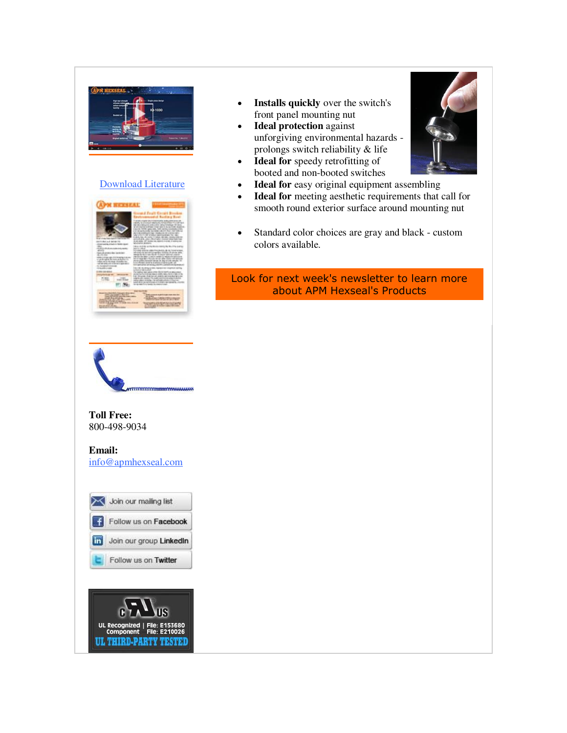

## [Download Literature](http://r20.rs6.net/tn.jsp?f=001BOI2jJEgUg9TCbuOV_BndPyjK94H1CVG2dj13c719sc4MVo5EyE-6fndtJMi4erF26sS6F47WVhPMProqP7CEnoLz-RNmNoF7SW1m_enLHBcBnHdx0UkLQ8kiUdoqu1VOGeasPsz1YaiJ2Za11Ty2Dm2TlhhaTC7mF-6957G5uv6um68IpC-UzTHkad4A1fgKjrlH_Krh8IW-WO9AEEUL6MUgJ7Ud9gNLOwsffQLhWdj-CgLSZFewfm1lkF3mtbAhhzeYUdJcPsfNwRwLjQTm61qJEzKVc-fdTMH4iXI7_4=&c=k4jmXzvKv6eBBMZwQhTBOlbKI9wKxR51wcyjRwDLzq2w8QJPLIJX4w==&ch=VgUMAmRPhxtr56smYX-Sz9ixMir-pA952T9RPsruZfNLdw1JwgkutQ==)



- **Installs quickly** over the switch's front panel mounting nut
- **Ideal protection** against unforgiving environmental hazards prolongs switch reliability & life
- **Ideal for** speedy retrofitting of booted and non-booted switches
- **Ideal for** easy original equipment assembling
- **Ideal for** meeting aesthetic requirements that call for smooth round exterior surface around mounting nut
- Standard color choices are gray and black custom colors available.

# Look for next week's newsletter to learn more about APM Hexseal's Products



**Toll Free:**  800-498-9034

**Email:**

[info@apmhexseal.com](mailto:info@apmhexseal.com)

| Follow us on Facebook   |
|-------------------------|
| Join our group LinkedIn |
| Follow us on Twitter    |